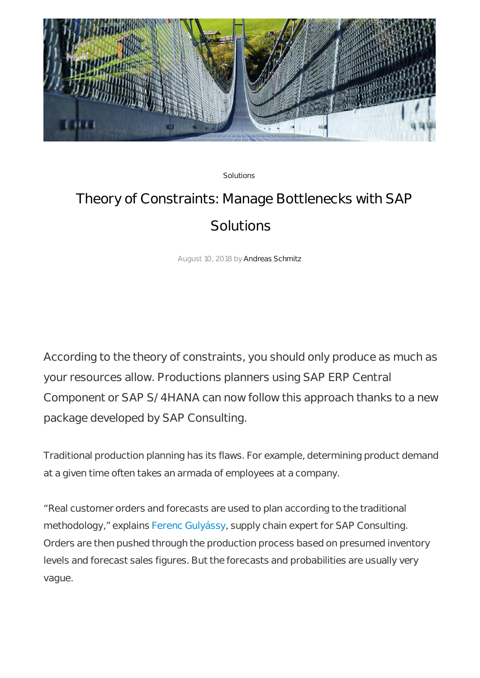

Solutions

## Theory of Constraints: Manage Bottlenecks with SAP **Solutions**

August 10, 2018 by Andreas Schmitz

According to the theory of constraints, you should only produce as much as your resources allow. Productions planners using SAP ERP Central Component or SAP S/4HANA can now follow this approach thanks to a new package developed by SAP Consulting.

Traditional production planning has its flaws. For example, determining product demand at a given time often takes an armada of employees at a company.

"Real customer orders and forecasts are used to plan according to the traditional methodology," explains Ferenc Gulyássy, supply chain expert for SAP Consulting. Orders are then pushed through the production process based on presumed inventory levels and forecast sales figures. But the forecasts and probabilities are usually very vague.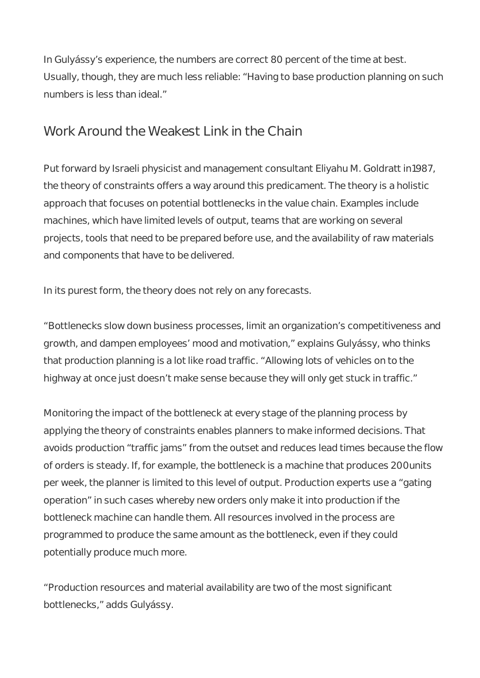In Gulyássy's experience, the numbers are correct 80 percent of the time at best. Usually, though, they are much less reliable: "Having to base production planning on such numbers is less than ideal."

## Work Around the Weakest Link in the Chain

Put forward by Israeli physicist and management consultant Eliyahu M. Goldratt in1987, the theory of constraints offers a way around this predicament. The theory is a holistic approach that focuses on potential bottlenecks in the value chain. Examples include machines, which have limited levels of output, teams that are working on several projects, tools that need to be prepared before use, and the availability of raw materials and components that have to be delivered.

In its purest form, the theory does not rely on any forecasts.

"Bottlenecks slow down business processes, limit an organization's competitiveness and growth, and dampen employees' mood and motivation," explains Gulyássy, who thinks that production planning is a lot like road traffic. "Allowing lots of vehicles on to the highway at once just doesn't make sense because they will only get stuck in traffic."

Monitoring the impact of the bottleneck at every stage of the planning process by applying the theory of constraints enables planners to make informed decisions. That avoids production "traffic jams" from the outset and reduces lead times because the flow of orders is steady. If, for example, the bottleneck is a machine that produces 200units per week, the planner is limited to this level of output. Production experts use a "gating operation" in such cases whereby new orders only make it into production if the bottleneck machine can handle them. All resources involved in the process are programmed to produce the same amount as the bottleneck, even if they could potentially produce much more.

"Production resources and material availability are two of the most significant bottlenecks," adds Gulyássy.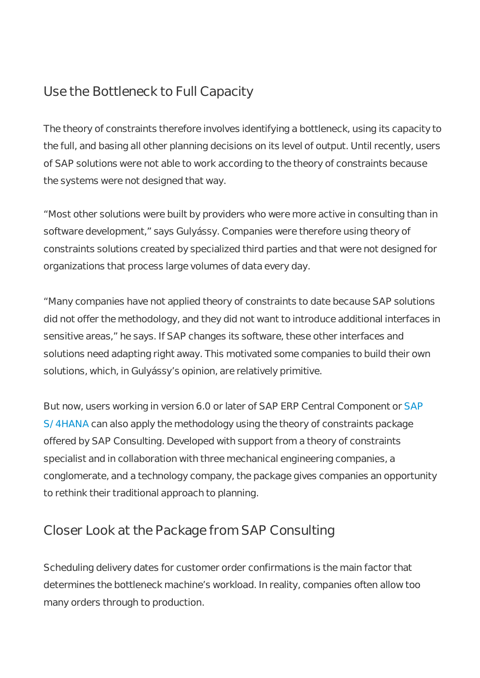## Use the Bottleneck to Full Capacity

The theory of constraints therefore involves identifying a bottleneck, using its capacity to the full, and basing all other planning decisions on its level of output. Until recently, users of SAP solutions were not able to work according to the theory of constraints because the systems were not designed that way.

"Most other solutions were built by providers who were more active in consulting than in software development," says Gulyássy. Companies were therefore using theory of constraints solutions created by specialized third parties and that were not designed for organizations that process large volumes of data every day.

"Many companies have not applied theory of constraints to date because SAP solutions did not offer the methodology, and they did not want to introduce additional interfaces in sensitive areas," he says. If SAP changes its software, these other interfaces and solutions need adapting right away. This motivated some companies to build their own solutions, which, in Gulyássy's opinion, are relatively primitive.

But now, users working in version 6.0 or later of SAP ERP Central Component or SAP S/4HANA can also apply the methodology using the theory of constraints package offered by SAP Consulting. Developed with support from a theory of constraints specialist and in collaboration with three mechanical engineering companies, a conglomerate, and a technology company, the package gives companies an opportunity to rethink their traditional approach to planning.

## Closer Look at the Package from SAP Consulting

Scheduling delivery dates for customer order confirmations is the main factor that determines the bottleneck machine's workload. In reality, companies often allow too many orders through to production.